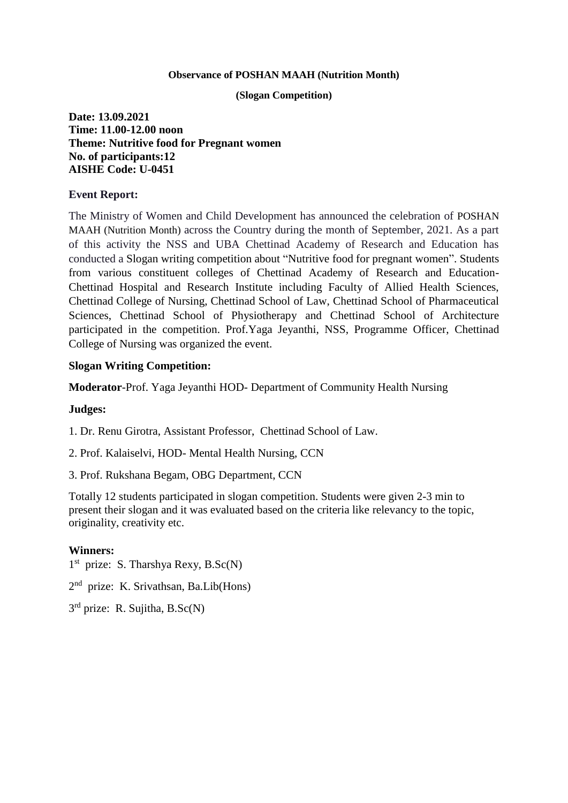#### **Observance of POSHAN MAAH (Nutrition Month)**

### **(Slogan Competition)**

**Date: 13.09.2021 Time: 11.00-12.00 noon Theme: Nutritive food for Pregnant women No. of participants:12 AISHE Code: U-0451**

## **Event Report:**

The Ministry of Women and Child Development has announced the celebration of POSHAN MAAH (Nutrition Month) across the Country during the month of September, 2021. As a part of this activity the NSS and UBA Chettinad Academy of Research and Education has conducted a Slogan writing competition about "Nutritive food for pregnant women". Students from various constituent colleges of Chettinad Academy of Research and Education-Chettinad Hospital and Research Institute including Faculty of Allied Health Sciences, Chettinad College of Nursing, Chettinad School of Law, Chettinad School of Pharmaceutical Sciences, Chettinad School of Physiotherapy and Chettinad School of Architecture participated in the competition. Prof.Yaga Jeyanthi, NSS, Programme Officer, Chettinad College of Nursing was organized the event.

# **Slogan Writing Competition:**

**Moderator**-Prof. Yaga Jeyanthi HOD- Department of Community Health Nursing

## **Judges:**

1. Dr. Renu Girotra, Assistant Professor, Chettinad School of Law.

2. Prof. Kalaiselvi, HOD- Mental Health Nursing, CCN

3. Prof. Rukshana Begam, OBG Department, CCN

Totally 12 students participated in slogan competition. Students were given 2-3 min to present their slogan and it was evaluated based on the criteria like relevancy to the topic, originality, creativity etc.

## **Winners:**

1<sup>st</sup> prize: S. Tharshya Rexy, B.Sc(N)

2<sup>nd</sup> prize: K. Srivathsan, Ba.Lib(Hons)

3<sup>rd</sup> prize: R. Sujitha, B.Sc(N)